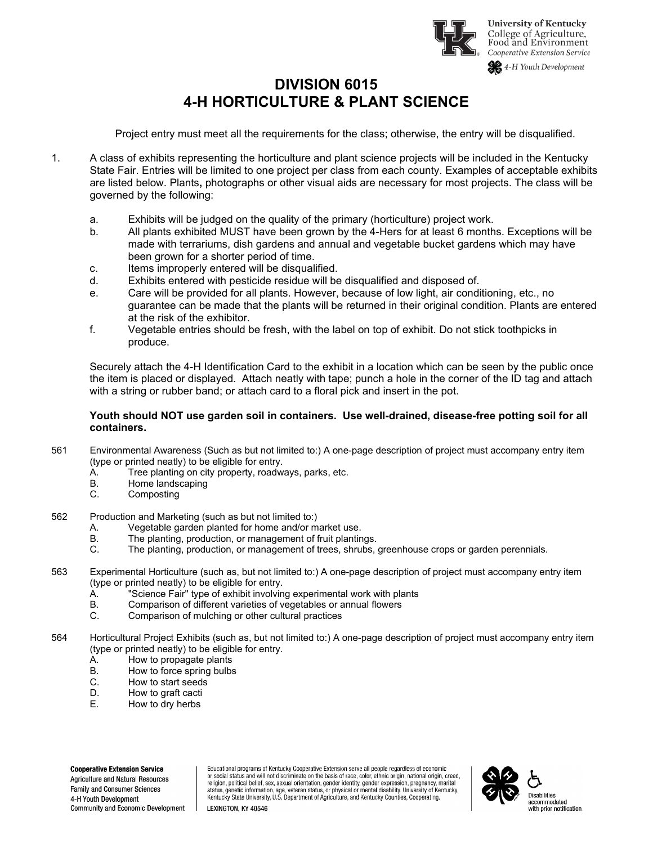

## **DIVISION 6015 4-H HORTICULTURE & PLANT SCIENCE**

Project entry must meet all the requirements for the class; otherwise, the entry will be disqualified.

- 1. A class of exhibits representing the horticulture and plant science projects will be included in the Kentucky State Fair. Entries will be limited to one project per class from each county. Examples of acceptable exhibits are listed below. Plants**,** photographs or other visual aids are necessary for most projects. The class will be governed by the following:
	- a. Exhibits will be judged on the quality of the primary (horticulture) project work.
	- b. All plants exhibited MUST have been grown by the 4-Hers for at least 6 months. Exceptions will be made with terrariums, dish gardens and annual and vegetable bucket gardens which may have been grown for a shorter period of time.
	- c. Items improperly entered will be disqualified.
	- d. Exhibits entered with pesticide residue will be disqualified and disposed of.
	- e. Care will be provided for all plants. However, because of low light, air conditioning, etc., no guarantee can be made that the plants will be returned in their original condition. Plants are entered at the risk of the exhibitor.
	- f. Vegetable entries should be fresh, with the label on top of exhibit. Do not stick toothpicks in produce.

Securely attach the 4-H Identification Card to the exhibit in a location which can be seen by the public once the item is placed or displayed. Attach neatly with tape; punch a hole in the corner of the ID tag and attach with a string or rubber band; or attach card to a floral pick and insert in the pot.

## **Youth should NOT use garden soil in containers. Use well-drained, disease-free potting soil for all containers.**

- 561 Environmental Awareness (Such as but not limited to:) A one-page description of project must accompany entry item (type or printed neatly) to be eligible for entry.
	- A. Tree planting on city property, roadways, parks, etc.
	- Home landscaping
	- C. Composting
- 562 Production and Marketing (such as but not limited to:)
	- A. Vegetable garden planted for home and/or market use.<br>B. The planting, production, or management of fruit planting
	- The planting, production, or management of fruit plantings.
	- C. The planting, production, or management of trees, shrubs, greenhouse crops or garden perennials.
- 563 Experimental Horticulture (such as, but not limited to:) A one-page description of project must accompany entry item (type or printed neatly) to be eligible for entry.
	- A. "Science Fair" type of exhibit involving experimental work with plants
	- Comparison of different varieties of vegetables or annual flowers
	- C. Comparison of mulching or other cultural practices
- 564 Horticultural Project Exhibits (such as, but not limited to:) A one-page description of project must accompany entry item (type or printed neatly) to be eligible for entry.<br>A. How to propagate plants
	- How to propagate plants
	- B. How to force spring bulbs
	- C. How to start seeds<br>D. How to graft cacti
	- D. How to graft cacti<br>E. How to dry herbs
	- How to dry herbs

**Cooperative Extension Service Agriculture and Natural Resources Family and Consumer Sciences** 4-H Youth Development Community and Economic Development Educational programs of Kentucky Cooperative Extension serve all people regardless of economic or social status and will not discriminate on the basis of race, color, ethnic origin, national origin, creed, religion, political belief, sex, sexual orientation, gender identity, gender expression, pregnancy, marital Status, genetic information, age, veteran status, or physical or mental disability. University of Kentucky,<br>Kentucky State University, U.S. Department of Agriculture, and Kentucky Counties, Cooperating.